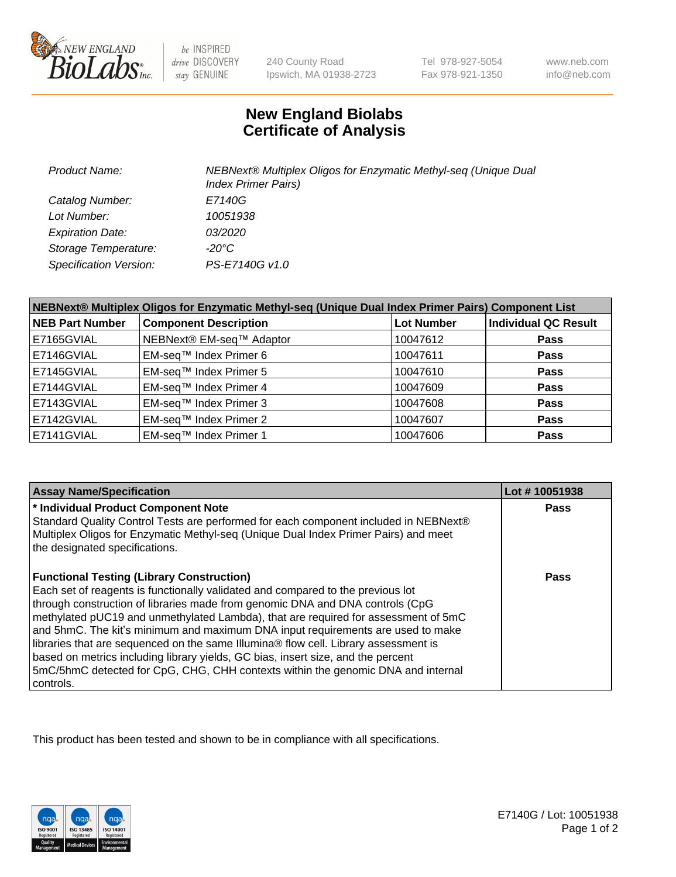

be INSPIRED drive DISCOVERY stay GENUINE

240 County Road Ipswich, MA 01938-2723 Tel 978-927-5054 Fax 978-921-1350

www.neb.com info@neb.com

## **New England Biolabs Certificate of Analysis**

| <b>Product Name:</b>    | NEBNext® Multiplex Oligos for Enzymatic Methyl-seq (Unique Dual<br><b>Index Primer Pairs)</b> |
|-------------------------|-----------------------------------------------------------------------------------------------|
| Catalog Number:         | E7140G                                                                                        |
| Lot Number:             | 10051938                                                                                      |
| <b>Expiration Date:</b> | <i>03/2020</i>                                                                                |
| Storage Temperature:    | -20°C                                                                                         |
| Specification Version:  | PS-E7140G v1.0                                                                                |

| NEBNext® Multiplex Oligos for Enzymatic Methyl-seq (Unique Dual Index Primer Pairs) Component List |                              |                   |                             |  |
|----------------------------------------------------------------------------------------------------|------------------------------|-------------------|-----------------------------|--|
| <b>NEB Part Number</b>                                                                             | <b>Component Description</b> | <b>Lot Number</b> | <b>Individual QC Result</b> |  |
| E7165GVIAL                                                                                         | NEBNext® EM-seq™ Adaptor     | 10047612          | <b>Pass</b>                 |  |
| E7146GVIAL                                                                                         | EM-seq™ Index Primer 6       | 10047611          | <b>Pass</b>                 |  |
| E7145GVIAL                                                                                         | EM-seq™ Index Primer 5       | 10047610          | <b>Pass</b>                 |  |
| E7144GVIAL                                                                                         | EM-seq™ Index Primer 4       | 10047609          | <b>Pass</b>                 |  |
| E7143GVIAL                                                                                         | EM-seq™ Index Primer 3       | 10047608          | <b>Pass</b>                 |  |
| E7142GVIAL                                                                                         | EM-seq™ Index Primer 2       | 10047607          | <b>Pass</b>                 |  |
| E7141GVIAL                                                                                         | EM-seq™ Index Primer 1       | 10047606          | <b>Pass</b>                 |  |

| <b>Assay Name/Specification</b>                                                                                                                                                                                                                                                                                                                                                                                                                                                                                                                                                                                                                                           | Lot #10051938 |
|---------------------------------------------------------------------------------------------------------------------------------------------------------------------------------------------------------------------------------------------------------------------------------------------------------------------------------------------------------------------------------------------------------------------------------------------------------------------------------------------------------------------------------------------------------------------------------------------------------------------------------------------------------------------------|---------------|
| * Individual Product Component Note<br>Standard Quality Control Tests are performed for each component included in NEBNext®<br>Multiplex Oligos for Enzymatic Methyl-seq (Unique Dual Index Primer Pairs) and meet<br>the designated specifications.                                                                                                                                                                                                                                                                                                                                                                                                                      | Pass          |
| <b>Functional Testing (Library Construction)</b><br>Each set of reagents is functionally validated and compared to the previous lot<br>through construction of libraries made from genomic DNA and DNA controls (CpG<br>methylated pUC19 and unmethylated Lambda), that are required for assessment of 5mC<br>and 5hmC. The kit's minimum and maximum DNA input requirements are used to make<br>libraries that are sequenced on the same Illumina® flow cell. Library assessment is<br>based on metrics including library yields, GC bias, insert size, and the percent<br>5mC/5hmC detected for CpG, CHG, CHH contexts within the genomic DNA and internal<br>controls. | Pass          |

This product has been tested and shown to be in compliance with all specifications.